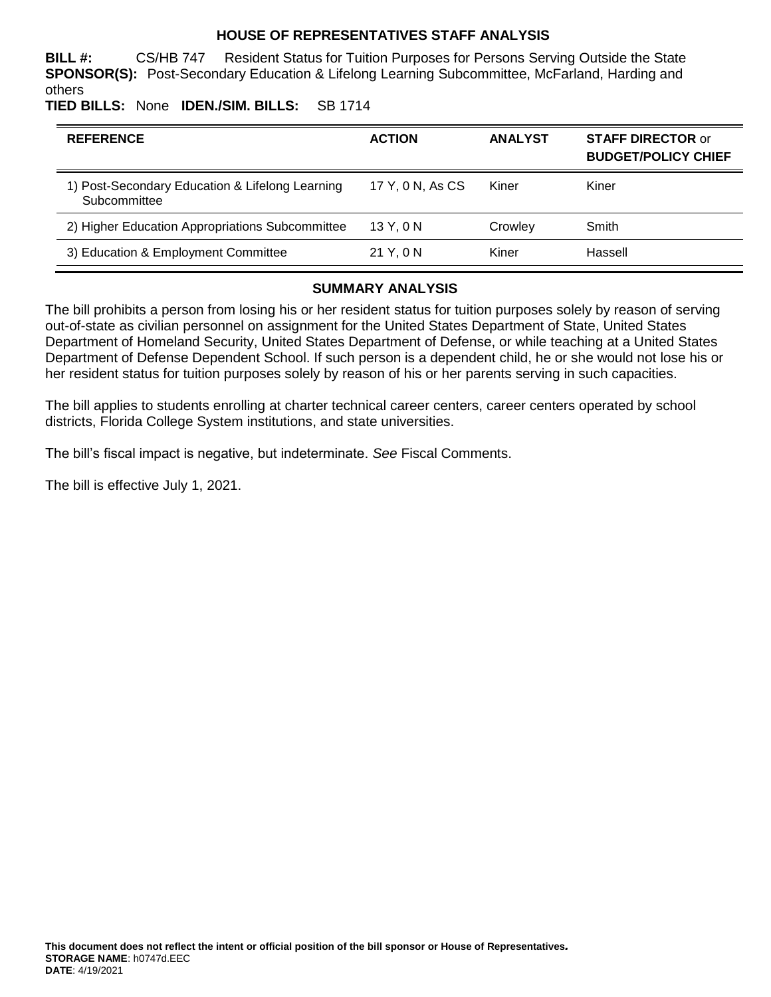### **HOUSE OF REPRESENTATIVES STAFF ANALYSIS**

**BILL #:** CS/HB 747 Resident Status for Tuition Purposes for Persons Serving Outside the State **SPONSOR(S):** Post-Secondary Education & Lifelong Learning Subcommittee, McFarland, Harding and others

**TIED BILLS:** None **IDEN./SIM. BILLS:** SB 1714

| <b>REFERENCE</b>                                                | <b>ACTION</b>    | <b>ANALYST</b> | <b>STAFF DIRECTOR or</b><br><b>BUDGET/POLICY CHIEF</b> |
|-----------------------------------------------------------------|------------------|----------------|--------------------------------------------------------|
| 1) Post-Secondary Education & Lifelong Learning<br>Subcommittee | 17 Y, 0 N, As CS | Kiner          | Kiner                                                  |
| 2) Higher Education Appropriations Subcommittee                 | 13 Y.ON          | Crowley        | Smith                                                  |
| 3) Education & Employment Committee                             | 21 Y.O N         | Kiner          | Hassell                                                |

## **SUMMARY ANALYSIS**

The bill prohibits a person from losing his or her resident status for tuition purposes solely by reason of serving out-of-state as civilian personnel on assignment for the United States Department of State, United States Department of Homeland Security, United States Department of Defense, or while teaching at a United States Department of Defense Dependent School. If such person is a dependent child, he or she would not lose his or her resident status for tuition purposes solely by reason of his or her parents serving in such capacities.

The bill applies to students enrolling at charter technical career centers, career centers operated by school districts, Florida College System institutions, and state universities.

The bill's fiscal impact is negative, but indeterminate. *See* Fiscal Comments.

The bill is effective July 1, 2021.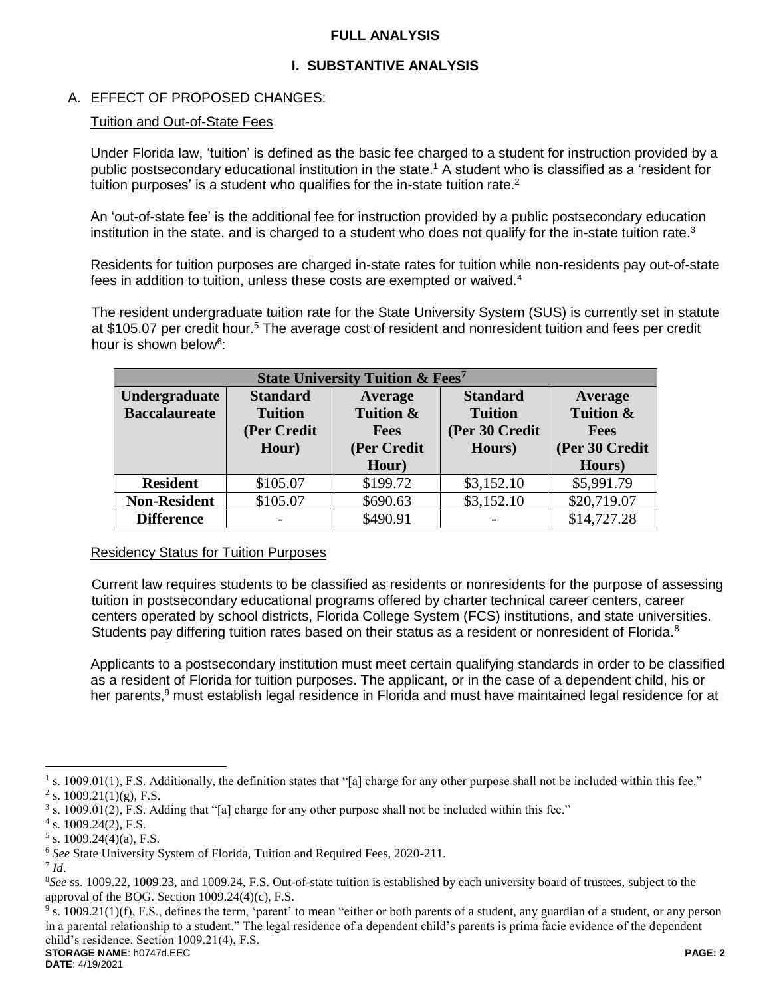## **FULL ANALYSIS**

## **I. SUBSTANTIVE ANALYSIS**

## A. EFFECT OF PROPOSED CHANGES:

### Tuition and Out-of-State Fees

Under Florida law, 'tuition' is defined as the basic fee charged to a student for instruction provided by a public postsecondary educational institution in the state.<sup>1</sup> A student who is classified as a 'resident for tuition purposes' is a student who qualifies for the in-state tuition rate. $2$ 

An 'out-of-state fee' is the additional fee for instruction provided by a public postsecondary education institution in the state, and is charged to a student who does not qualify for the in-state tuition rate.<sup>3</sup>

Residents for tuition purposes are charged in-state rates for tuition while non-residents pay out-of-state fees in addition to tuition, unless these costs are exempted or waived.<sup>4</sup>

The resident undergraduate tuition rate for the State University System (SUS) is currently set in statute at \$105.07 per credit hour.<sup>5</sup> The average cost of resident and nonresident tuition and fees per credit hour is shown below<sup>6</sup>:

| <b>State University Tuition &amp; Fees<sup>7</sup></b> |                 |             |                 |                |  |  |
|--------------------------------------------------------|-----------------|-------------|-----------------|----------------|--|--|
| <b>Undergraduate</b>                                   | <b>Standard</b> | Average     | <b>Standard</b> | Average        |  |  |
| <b>Baccalaureate</b>                                   | <b>Tuition</b>  | Tuition &   | <b>Tuition</b>  | Tuition &      |  |  |
|                                                        | (Per Credit     | <b>Fees</b> | (Per 30 Credit  | <b>Fees</b>    |  |  |
|                                                        | Hour)           | (Per Credit | Hours)          | (Per 30 Credit |  |  |
|                                                        |                 | Hour)       |                 | Hours)         |  |  |
| <b>Resident</b>                                        | \$105.07        | \$199.72    | \$3,152.10      | \$5,991.79     |  |  |
| <b>Non-Resident</b>                                    | \$105.07        | \$690.63    | \$3,152.10      | \$20,719.07    |  |  |
| <b>Difference</b>                                      |                 | \$490.91    |                 | \$14,727.28    |  |  |

#### Residency Status for Tuition Purposes

Current law requires students to be classified as residents or nonresidents for the purpose of assessing tuition in postsecondary educational programs offered by charter technical career centers, career centers operated by school districts, Florida College System (FCS) institutions, and state universities. Students pay differing tuition rates based on their status as a resident or nonresident of Florida.<sup>8</sup>

Applicants to a postsecondary institution must meet certain qualifying standards in order to be classified as a resident of Florida for tuition purposes. The applicant, or in the case of a dependent child, his or her parents,<sup>9</sup> must establish legal residence in Florida and must have maintained legal residence for at

 $\overline{a}$ 

**STORAGE NAME**: h0747d.EEC **PAGE: 2**  $9$  s. 1009.21(1)(f), F.S., defines the term, 'parent' to mean "either or both parents of a student, any guardian of a student, or any person in a parental relationship to a student." The legal residence of a dependent child's parents is prima facie evidence of the dependent child's residence. Section 1009.21(4), F.S.

<sup>&</sup>lt;sup>1</sup> s. 1009.01(1), F.S. Additionally, the definition states that "[a] charge for any other purpose shall not be included within this fee." <sup>2</sup> s. 1009.21(1)(g), F.S.

<sup>&</sup>lt;sup>3</sup> s. 1009.01(2), F.S. Adding that "[a] charge for any other purpose shall not be included within this fee."

<sup>4</sup> s. 1009.24(2), F.S.

 $5$  s. 1009.24(4)(a), F.S.

<sup>6</sup> *See* State University System of Florida, Tuition and Required Fees, 2020-211.

<sup>7</sup> *Id*.

<sup>8</sup>*See* ss. 1009.22, 1009.23, and 1009.24, F.S. Out-of-state tuition is established by each university board of trustees, subject to the approval of the BOG. Section 1009.24(4)(c), F.S.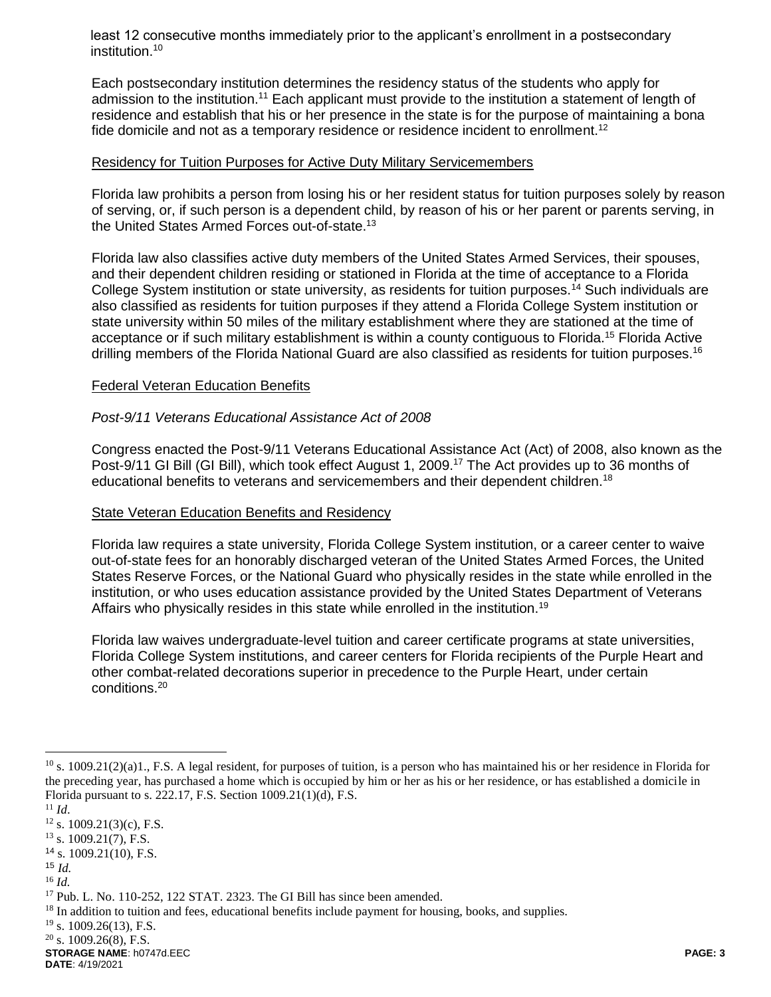least 12 consecutive months immediately prior to the applicant's enrollment in a postsecondary institution.<sup>10</sup>

Each postsecondary institution determines the residency status of the students who apply for admission to the institution.<sup>11</sup> Each applicant must provide to the institution a statement of length of residence and establish that his or her presence in the state is for the purpose of maintaining a bona fide domicile and not as a temporary residence or residence incident to enrollment.<sup>12</sup>

#### Residency for Tuition Purposes for Active Duty Military Servicemembers

Florida law prohibits a person from losing his or her resident status for tuition purposes solely by reason of serving, or, if such person is a dependent child, by reason of his or her parent or parents serving, in the United States Armed Forces out-of-state.<sup>13</sup>

Florida law also classifies active duty members of the United States Armed Services, their spouses, and their dependent children residing or stationed in Florida at the time of acceptance to a Florida College System institution or state university, as residents for tuition purposes.<sup>14</sup> Such individuals are also classified as residents for tuition purposes if they attend a Florida College System institution or state university within 50 miles of the military establishment where they are stationed at the time of acceptance or if such military establishment is within a county contiguous to Florida.<sup>15</sup> Florida Active drilling members of the Florida National Guard are also classified as residents for tuition purposes.<sup>16</sup>

#### Federal Veteran Education Benefits

### *Post-9/11 Veterans Educational Assistance Act of 2008*

Congress enacted the Post-9/11 Veterans Educational Assistance Act (Act) of 2008, also known as the Post-9/11 GI Bill (GI Bill), which took effect August 1, 2009.<sup>17</sup> The Act provides up to 36 months of educational benefits to veterans and servicemembers and their dependent children.<sup>18</sup>

## State Veteran Education Benefits and Residency

Florida law requires a state university, Florida College System institution, or a career center to waive out-of-state fees for an honorably discharged veteran of the United States Armed Forces, the United States Reserve Forces, or the National Guard who physically resides in the state while enrolled in the institution, or who uses education assistance provided by the United States Department of Veterans Affairs who physically resides in this state while enrolled in the institution.<sup>19</sup>

Florida law waives undergraduate-level tuition and career certificate programs at state universities, Florida College System institutions, and career centers for Florida recipients of the Purple Heart and other combat-related decorations superior in precedence to the Purple Heart, under certain conditions.<sup>20</sup>

 $\overline{a}$ 

**STORAGE NAME**: h0747d.EEC **PAGE: 3 DATE**: 4/19/2021

 $^{10}$  s. 1009.21(2)(a)1., F.S. A legal resident, for purposes of tuition, is a person who has maintained his or her residence in Florida for the preceding year, has purchased a home which is occupied by him or her as his or her residence, or has established a domicile in Florida pursuant to s. 222.17, F.S. Section 1009.21(1)(d), F.S.

<sup>11</sup> *Id*.

 $12$  s. 1009.21(3)(c), F.S.

 $13$  s. 1009.21(7), F.S.

 $14$  s. 1009.21(10), F.S.

<sup>15</sup> *Id.*

<sup>16</sup> *Id.*

<sup>&</sup>lt;sup>17</sup> Pub. L. No. 110-252, 122 STAT. 2323. The GI Bill has since been amended.

<sup>&</sup>lt;sup>18</sup> In addition to tuition and fees, educational benefits include payment for housing, books, and supplies.

<sup>&</sup>lt;sup>19</sup> s. 1009.26(13), F.S.

 $20$  s. 1009.26(8), F.S.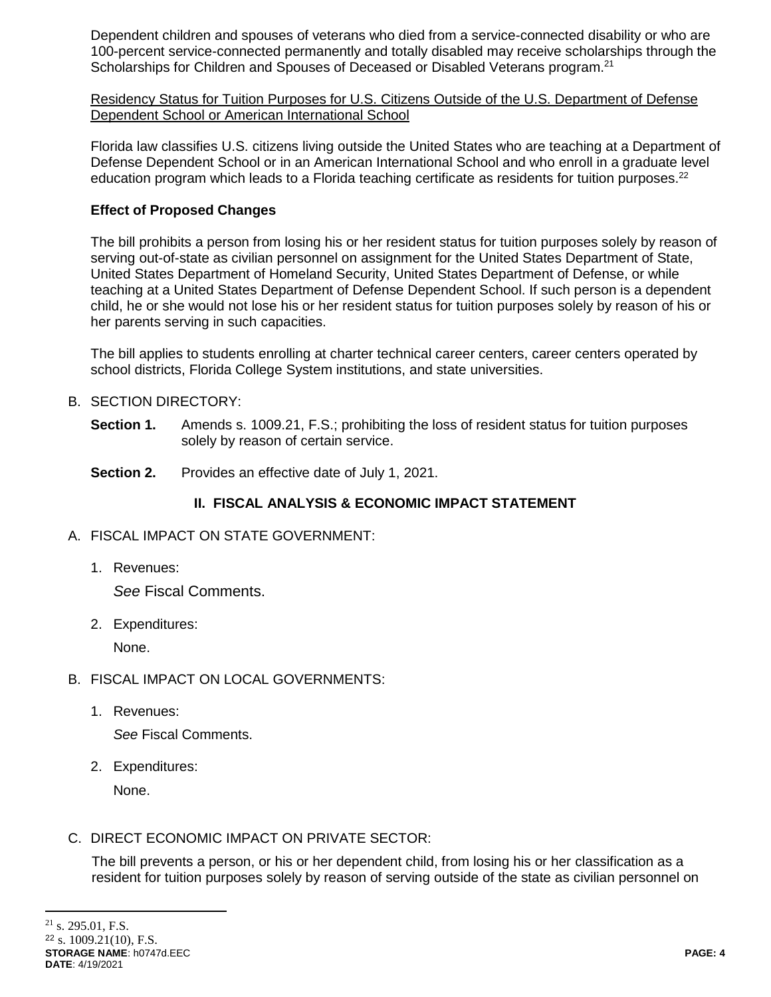Dependent children and spouses of veterans who died from a service-connected disability or who are 100-percent service-connected permanently and totally disabled may receive scholarships through the Scholarships for Children and Spouses of Deceased or Disabled Veterans program.<sup>21</sup>

Residency Status for Tuition Purposes for U.S. Citizens Outside of the U.S. Department of Defense Dependent School or American International School

Florida law classifies U.S. citizens living outside the United States who are teaching at a Department of Defense Dependent School or in an American International School and who enroll in a graduate level education program which leads to a Florida teaching certificate as residents for tuition purposes.<sup>22</sup>

## **Effect of Proposed Changes**

The bill prohibits a person from losing his or her resident status for tuition purposes solely by reason of serving out-of-state as civilian personnel on assignment for the United States Department of State, United States Department of Homeland Security, United States Department of Defense, or while teaching at a United States Department of Defense Dependent School. If such person is a dependent child, he or she would not lose his or her resident status for tuition purposes solely by reason of his or her parents serving in such capacities.

The bill applies to students enrolling at charter technical career centers, career centers operated by school districts, Florida College System institutions, and state universities.

## B. SECTION DIRECTORY:

- **Section 1.** Amends s. 1009.21, F.S.; prohibiting the loss of resident status for tuition purposes solely by reason of certain service.
- **Section 2.** Provides an effective date of July 1, 2021.

# **II. FISCAL ANALYSIS & ECONOMIC IMPACT STATEMENT**

- A. FISCAL IMPACT ON STATE GOVERNMENT:
	- 1. Revenues:

*See* Fiscal Comments.

2. Expenditures:

None.

- B. FISCAL IMPACT ON LOCAL GOVERNMENTS:
	- 1. Revenues:

*See* Fiscal Comments.

2. Expenditures:

None.

C. DIRECT ECONOMIC IMPACT ON PRIVATE SECTOR:

The bill prevents a person, or his or her dependent child, from losing his or her classification as a resident for tuition purposes solely by reason of serving outside of the state as civilian personnel on

 $\overline{a}$